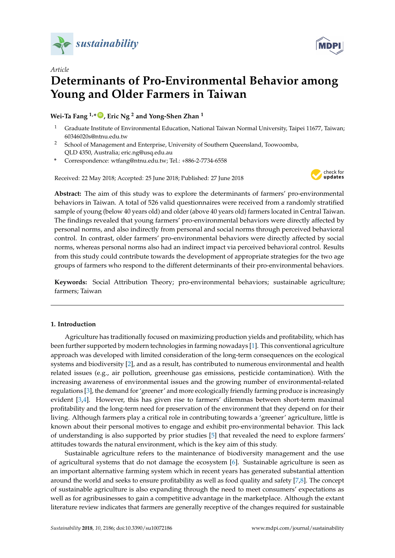

*Article*



# **Determinants of Pro-Environmental Behavior among Young and Older Farmers in Taiwan**

**Wei-Ta Fang 1,\* [ID](https://orcid.org/0000-0002-4460-0652) , Eric Ng <sup>2</sup> and Yong-Shen Zhan <sup>1</sup>**

- <sup>1</sup> Graduate Institute of Environmental Education, National Taiwan Normal University, Taipei 11677, Taiwan; 60346020s@ntnu.edu.tw
- <sup>2</sup> School of Management and Enterprise, University of Southern Queensland, Toowoomba, QLD 4350, Australia; eric.ng@usq.edu.au
- **\*** Correspondence: wtfang@ntnu.edu.tw; Tel.: +886-2-7734-6558

Received: 22 May 2018; Accepted: 25 June 2018; Published: 27 June 2018



**Abstract:** The aim of this study was to explore the determinants of farmers' pro-environmental behaviors in Taiwan. A total of 526 valid questionnaires were received from a randomly stratified sample of young (below 40 years old) and older (above 40 years old) farmers located in Central Taiwan. The findings revealed that young farmers' pro-environmental behaviors were directly affected by personal norms, and also indirectly from personal and social norms through perceived behavioral control. In contrast, older farmers' pro-environmental behaviors were directly affected by social norms, whereas personal norms also had an indirect impact via perceived behavioral control. Results from this study could contribute towards the development of appropriate strategies for the two age groups of farmers who respond to the different determinants of their pro-environmental behaviors.

**Keywords:** Social Attribution Theory; pro-environmental behaviors; sustainable agriculture; farmers; Taiwan

# **1. Introduction**

Agriculture has traditionally focused on maximizing production yields and profitability, which has been further supported by modern technologies in farming nowadays [\[1\]](#page-12-0). This conventional agriculture approach was developed with limited consideration of the long-term consequences on the ecological systems and biodiversity [\[2\]](#page-12-1), and as a result, has contributed to numerous environmental and health related issues (e.g., air pollution, greenhouse gas emissions, pesticide contamination). With the increasing awareness of environmental issues and the growing number of environmental-related regulations [\[3\]](#page-12-2), the demand for 'greener' and more ecologically friendly farming produce is increasingly evident [\[3](#page-12-2)[,4\]](#page-12-3). However, this has given rise to farmers' dilemmas between short-term maximal profitability and the long-term need for preservation of the environment that they depend on for their living. Although farmers play a critical role in contributing towards a 'greener' agriculture, little is known about their personal motives to engage and exhibit pro-environmental behavior. This lack of understanding is also supported by prior studies [\[5\]](#page-12-4) that revealed the need to explore farmers' attitudes towards the natural environment, which is the key aim of this study.

Sustainable agriculture refers to the maintenance of biodiversity management and the use of agricultural systems that do not damage the ecosystem [\[6\]](#page-12-5). Sustainable agriculture is seen as an important alternative farming system which in recent years has generated substantial attention around the world and seeks to ensure profitability as well as food quality and safety [\[7](#page-12-6)[,8\]](#page-12-7). The concept of sustainable agriculture is also expanding through the need to meet consumers' expectations as well as for agribusinesses to gain a competitive advantage in the marketplace. Although the extant literature review indicates that farmers are generally receptive of the changes required for sustainable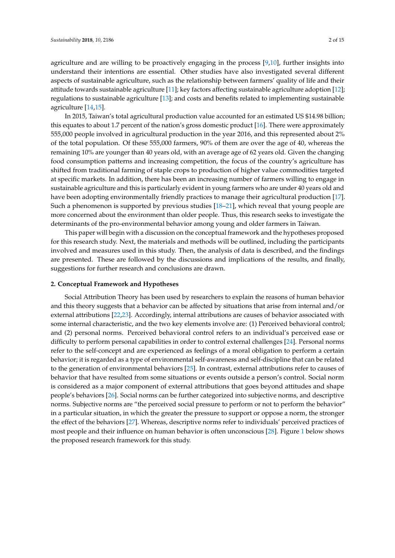agriculture [\[14](#page-13-1)[,15\]](#page-13-2).

agriculture and are willing to be proactively engaging in the process [\[9,](#page-12-8)[10\]](#page-12-9), further insights into understand their intentions are essential. Other studies have also investigated several different aspects of sustainable agriculture, such as the relationship between farmers' quality of life and their attitude towards sustainable agriculture [\[11\]](#page-12-10); key factors affecting sustainable agriculture adoption [\[12\]](#page-12-11); regulations to sustainable agriculture [\[13\]](#page-13-0); and costs and benefits related to implementing sustainable

In 2015, Taiwan's total agricultural production value accounted for an estimated US \$14.98 billion; this equates to about 1.7 percent of the nation's gross domestic product [\[16\]](#page-13-3). There were approximately 555,000 people involved in agricultural production in the year 2016, and this represented about 2% of the total population. Of these 555,000 farmers, 90% of them are over the age of 40, whereas the remaining 10% are younger than 40 years old, with an average age of 62 years old. Given the changing food consumption patterns and increasing competition, the focus of the country's agriculture has shifted from traditional farming of staple crops to production of higher value commodities targeted at specific markets. In addition, there has been an increasing number of farmers willing to engage in sustainable agriculture and this is particularly evident in young farmers who are under 40 years old and have been adopting environmentally friendly practices to manage their agricultural production [\[17\]](#page-13-4). Such a phenomenon is supported by previous studies [\[18](#page-13-5)[–21\]](#page-13-6), which reveal that young people are more concerned about the environment than older people. Thus, this research seeks to investigate the determinants of the pro-environmental behavior among young and older farmers in Taiwan.

This paper will begin with a discussion on the conceptual framework and the hypotheses proposed for this research study. Next, the materials and methods will be outlined, including the participants involved and measures used in this study. Then, the analysis of data is described, and the findings are presented. These are followed by the discussions and implications of the results, and finally, suggestions for further research and conclusions are drawn.

#### **2. Conceptual Framework and Hypotheses**

Social Attribution Theory has been used by researchers to explain the reasons of human behavior and this theory suggests that a behavior can be affected by situations that arise from internal and/or external attributions [\[22](#page-13-7)[,23\]](#page-13-8). Accordingly, internal attributions are causes of behavior associated with some internal characteristic, and the two key elements involve are: (1) Perceived behavioral control; and (2) personal norms. Perceived behavioral control refers to an individual's perceived ease or difficulty to perform personal capabilities in order to control external challenges [\[24\]](#page-13-9). Personal norms refer to the self-concept and are experienced as feelings of a moral obligation to perform a certain behavior; it is regarded as a type of environmental self-awareness and self-discipline that can be related to the generation of environmental behaviors [\[25\]](#page-13-10). In contrast, external attributions refer to causes of behavior that have resulted from some situations or events outside a person's control. Social norm is considered as a major component of external attributions that goes beyond attitudes and shape people's behaviors [\[26\]](#page-13-11). Social norms can be further categorized into subjective norms, and descriptive norms. Subjective norms are "the perceived social pressure to perform or not to perform the behavior" in a particular situation, in which the greater the pressure to support or oppose a norm, the stronger the effect of the behaviors [\[27\]](#page-13-12). Whereas, descriptive norms refer to individuals' perceived practices of most people and their influence on human behavior is often unconscious [\[28\]](#page-13-13). Figure [1](#page-2-0) below shows the proposed research framework for this study.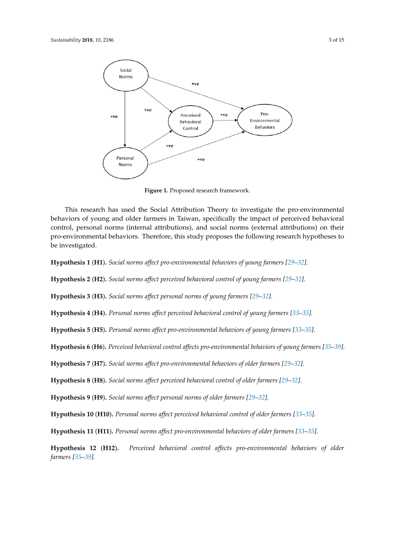<span id="page-2-0"></span>

**Figure 1.** Proposed research framework. **Figure 1.** Proposed research framework.

This research has used the Social Attribution Theory to investigate the pro-environmental This research has used the Social Attribution Theory to investigate the pro-environmental behaviors of young and older farmers in Taiwan, specifically the impact of perceived behavioral behaviors of young and older farmers in Taiwan, specifically the impact of perceived behavioral control, personal norms (internal attributions), and social norms (external attributions) on their pro-control, personal norms (internal attributions), and social norms (external attributions) on their environmental behaviors. Therefore, this study proposes the following research hypotheses to be pro-environmental behaviors. Therefore, this study proposes the following research hypotheses to investigated. be investigated.

Hypothesis 1 (H1). Social norms affect pro-environmental behaviors of young farmers [29-[32\]](#page-13-15).

Hypothesis 2 (H2). Social norms affect perceived behavioral control of young farmers [29-[32\]](#page-13-15).

Hypothesis 3 (H3). Social norms affect personal norms of young farmers [\[29](#page-13-14)-32].

Hypothesis 4 (H4). Personal norms affect perceived behavioral control of young farmers [33-[35\]](#page-13-17).

Hypothesis 5 (H5). Personal norms affect pro-environmental behaviors of young farmers [33-[35\]](#page-13-17).

Hypothesis 6 (H6). Perceived behavioral control affects pro-environmental behaviors of young farmers [\[35](#page-13-17)-39].

Hypothesis 7 (H7). Social norms affect pro-environmental behaviors of older farmers [\[29](#page-13-14)-32].

Hypothesis 8 (H8). Social norms affect perceived behavioral control of older farmers [\[29](#page-13-14)-32].

Hypothesis 9 (H9). Social norms affect personal norms of older farmers [29-[32\]](#page-13-15).

Hypothesis 10 (H10). Personal norms affect perceived behavioral control of older farmers [\[33](#page-13-16)-35].

Hypothesis 11 (H11). Personal norms affect pro-environmental behaviors of older farmers [\[33](#page-13-16)-35].

Hypothesis 12 (H12). Perceived behavioral control affects pro-environmental behaviors of older **3. Materials and Methods** *farmers [\[35–](#page-13-17)[39\]](#page-14-0).*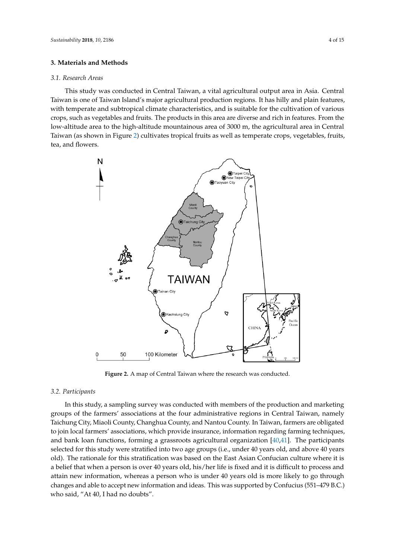## **3. Materials and Methods**

#### *3.1. Research Areas*

This study was conducted in Central Taiwan, a vital agricultural output area in Asia. Central Taiwan is one of Taiwan Island's major agricultural production regions. It has hilly and plain features, with temperate and subtropical climate characteristics, and is suitable for the cultivation of various crops, such as vegetables and fruits. The products in this area are diverse and rich in features. From the low-altitude area to the high-altitude mountainous area of 3000 m, the agricultural area in Central low-altitude area to the high-altitude mountainous area of 3000 m, the agricultural area in Central<br>Taiwan (as shown in Figure 2) cultivates tropical fruits as well as temperate crops, vegetables, fruits, tea, and flowers.

<span id="page-3-0"></span>

**Figure 2.** A map of Central Taiwan where the research was conducted. **Figure 2.** A map of Central Taiwan where the research was conducted.

# *3.2. Participants 3.2. Participants*

In this study, a sampling survey was conducted with members of the production and marketing In this study, a sampling survey was conducted with members of the production and marketing groups of the farmers' associations at the four administrative regions in Central Taiwan, namely groups of the farmers' associations at the four administrative regions in Central Taiwan, namely Taichung City, Miaoli County, Changhua County, and Nantou County. In Taiwan, farmers are Taichung City, Miaoli County, Changhua County, and Nantou County. In Taiwan, farmers are obligated to join local farmers' associations, which provide insurance, information regarding farming techniques, and bank loan functions, forming a grassroots agricultural organization  $[40,41]$  $[40,41]$ . The participants selected for this study were stratified into two age groups (i.e., under 40 years old, and above 40 years old). The rationale for this stratification was based on the East Asian Confucian culture where it is a belief that when a person is over 40 years old, his/her life is fixed and it is difficult to process and attain new information, whereas a person who is under 40 years old is more likely to go through changes and able to accept new information and ideas. This was supported by Confucius (551–479 B.C.) who said, "At 40, I had no doubts".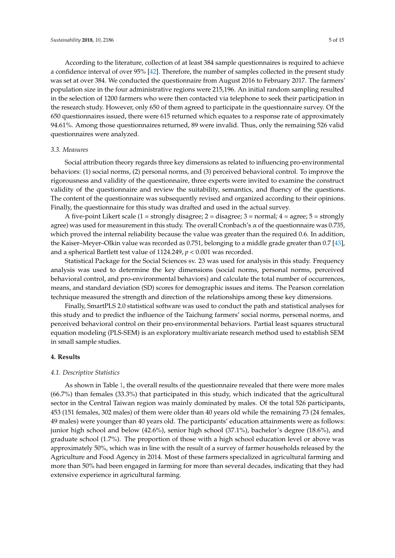According to the literature, collection of at least 384 sample questionnaires is required to achieve a confidence interval of over 95% [\[42\]](#page-14-3). Therefore, the number of samples collected in the present study was set at over 384. We conducted the questionnaire from August 2016 to February 2017. The farmers' population size in the four administrative regions were 215,196. An initial random sampling resulted in the selection of 1200 farmers who were then contacted via telephone to seek their participation in the research study. However, only 650 of them agreed to participate in the questionnaire survey. Of the 650 questionnaires issued, there were 615 returned which equates to a response rate of approximately 94.61%. Among those questionnaires returned, 89 were invalid. Thus, only the remaining 526 valid questionnaires were analyzed.

#### *3.3. Measures*

Social attribution theory regards three key dimensions as related to influencing pro-environmental behaviors: (1) social norms, (2) personal norms, and (3) perceived behavioral control. To improve the rigorousness and validity of the questionnaire, three experts were invited to examine the construct validity of the questionnaire and review the suitability, semantics, and fluency of the questions. The content of the questionnaire was subsequently revised and organized according to their opinions. Finally, the questionnaire for this study was drafted and used in the actual survey.

A five-point Likert scale (1 = strongly disagree; 2 = disagree; 3 = normal; 4 = agree; 5 = strongly agree) was used for measurement in this study. The overall Cronbach's α of the questionnaire was 0.735, which proved the internal reliability because the value was greater than the required 0.6. In addition, the Kaiser–Meyer–Olkin value was recorded as 0.751, belonging to a middle grade greater than 0.7 [\[43\]](#page-14-4), and a spherical Bartlett test value of 1124.249, *p* < 0.001 was recorded.

Statistical Package for the Social Sciences sv. 23 was used for analysis in this study. Frequency analysis was used to determine the key dimensions (social norms, personal norms, perceived behavioral control, and pro-environmental behaviors) and calculate the total number of occurrences, means, and standard deviation (SD) scores for demographic issues and items. The Pearson correlation technique measured the strength and direction of the relationships among these key dimensions.

Finally, SmartPLS 2.0 statistical software was used to conduct the path and statistical analyses for this study and to predict the influence of the Taichung farmers' social norms, personal norms, and perceived behavioral control on their pro-environmental behaviors. Partial least squares structural equation modeling (PLS-SEM) is an exploratory multivariate research method used to establish SEM in small sample studies.

#### **4. Results**

## *4.1. Descriptive Statistics*

As shown in Table [1,](#page-5-0) the overall results of the questionnaire revealed that there were more males (66.7%) than females (33.3%) that participated in this study, which indicated that the agricultural sector in the Central Taiwan region was mainly dominated by males. Of the total 526 participants, 453 (151 females, 302 males) of them were older than 40 years old while the remaining 73 (24 females, 49 males) were younger than 40 years old. The participants' education attainments were as follows: junior high school and below (42.6%), senior high school (37.1%), bachelor's degree (18.6%), and graduate school (1.7%). The proportion of those with a high school education level or above was approximately 50%, which was in line with the result of a survey of farmer households released by the Agriculture and Food Agency in 2014. Most of these farmers specialized in agricultural farming and more than 50% had been engaged in farming for more than several decades, indicating that they had extensive experience in agricultural farming.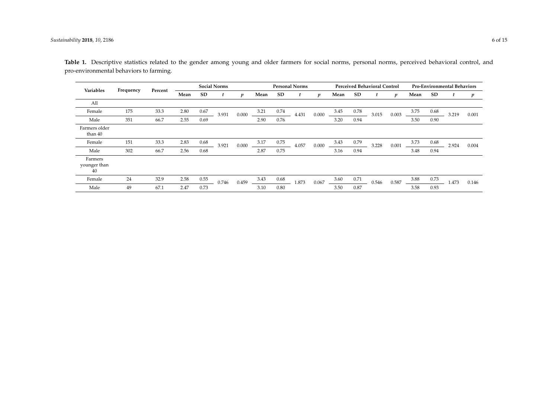<span id="page-5-0"></span>

| Variables                     |           |         | <b>Social Norms</b> |      |       |                  | <b>Personal Norms</b> |           |       |                  | <b>Perceived Behavioral Control</b> |           | <b>Pro-Environmental Behaviors</b> |                  |      |           |       |       |
|-------------------------------|-----------|---------|---------------------|------|-------|------------------|-----------------------|-----------|-------|------------------|-------------------------------------|-----------|------------------------------------|------------------|------|-----------|-------|-------|
|                               | Frequency | Percent | Mean                | SD   |       | $\boldsymbol{p}$ | Mean                  | <b>SD</b> |       | $\boldsymbol{p}$ | Mean                                | <b>SD</b> |                                    | $\boldsymbol{p}$ | Mean | <b>SD</b> |       | p     |
| All                           |           |         |                     |      |       |                  |                       |           |       |                  |                                     |           |                                    |                  |      |           |       |       |
| Female                        | 175       | 33.3    | 2.80                | 0.67 | 3.931 | 0.000            | 3.21                  | 0.74      | 4.431 | 0.000            | 3.45                                | 0.78      | 3.015                              | 0.003            | 3.75 | 0.68      | 3.219 | 0.001 |
| Male                          | 351       | 66.7    | 2.55                | 0.69 |       |                  | 2.90                  | 0.76      |       |                  | 3.20                                | 0.94      |                                    |                  | 3.50 | 0.90      |       |       |
| Farmers older<br>than 40      |           |         |                     |      |       |                  |                       |           |       |                  |                                     |           |                                    |                  |      |           |       |       |
| Female                        | 151       | 33.3    | 2.83                | 0.68 | 3.921 | 0.000            | 3.17                  | 0.75      | 4.057 | 0.000            | 3.43                                | 0.79      | 3.228                              | 0.001            | 3.73 | 0.68      | 2.924 | 0.004 |
| Male                          | 302       | 66.7    | 2.56                | 0.68 |       |                  | 2.87                  | 0.75      |       |                  | 3.16                                | 0.94      |                                    |                  | 3.48 | 0.94      |       |       |
| Farmers<br>younger than<br>40 |           |         |                     |      |       |                  |                       |           |       |                  |                                     |           |                                    |                  |      |           |       |       |
| Female                        | 24        | 32.9    | 2.58                | 0.55 | 0.746 | 0.459            | 3.43                  | 0.68      | 1.873 | 0.067            | 3.60                                | 0.71      | 0.546                              | 0.587            | 3.88 | 0.73      | L.473 | 0.146 |
| Male                          | 49        | 67.1    | 2.47                | 0.73 |       |                  | 3.10                  | 0.80      |       |                  | 3.50                                | 0.87      |                                    |                  | 3.58 | 0.93      |       |       |

Table 1. Descriptive statistics related to the gender among young and older farmers for social norms, personal norms, perceived behavioral control, and pro-environmental behaviors to farming.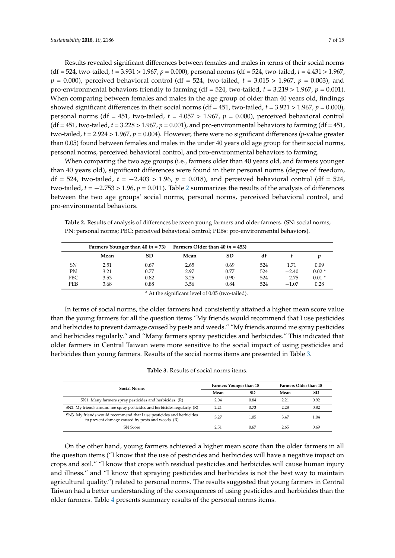Results revealed significant differences between females and males in terms of their social norms (df = 524, two-tailed, *t* = 3.931 > 1.967, *p* = 0.000), personal norms (df = 524, two-tailed, *t* = 4.431 > 1.967,  $p = 0.000$ , perceived behavioral control (df = 524, two-tailed,  $t = 3.015 > 1.967$ ,  $p = 0.003$ ), and pro-environmental behaviors friendly to farming (df = 524, two-tailed, *t* = 3.219 > 1.967, *p* = 0.001). When comparing between females and males in the age group of older than 40 years old, findings showed significant differences in their social norms (df = 451, two-tailed, *t* = 3.921 > 1.967, *p* = 0.000), personal norms (df = 451, two-tailed, *t* = 4.057 > 1.967, *p* = 0.000), perceived behavioral control (df = 451, two-tailed,  $t = 3.228 > 1.967$ ,  $p = 0.001$ ), and pro-environmental behaviors to farming (df = 451, two-tailed,  $t = 2.924 > 1.967$ ,  $p = 0.004$ ). However, there were no significant differences (*p*-value greater than 0.05) found between females and males in the under 40 years old age group for their social norms, personal norms, perceived behavioral control, and pro-environmental behaviors to farming.

When comparing the two age groups (i.e., farmers older than 40 years old, and farmers younger than 40 years old), significant differences were found in their personal norms (degree of freedom, df = 524, two-tailed, *t* = −2.403 > 1.96, *p* = 0.018), and perceived behavioral control (df = 524, two-tailed, *t* = −2.753 > 1.96, *p* = 0.011). Table [2](#page-6-0) summarizes the results of the analysis of differences between the two age groups' social norms, personal norms, perceived behavioral control, and pro-environmental behaviors.

<span id="page-6-0"></span>**Table 2.** Results of analysis of differences between young farmers and older farmers. (SN: social norms; PN: personal norms; PBC: perceived behavioral control; PEBs: pro-environmental behaviors).

|            |      |           | Farmers Younger than 40 ( $n = 73$ ) Farmers Older than 40 ( $n = 453$ ) |      |     |         |         |
|------------|------|-----------|--------------------------------------------------------------------------|------|-----|---------|---------|
|            | Mean | <b>SD</b> | Mean                                                                     | SD   | df  |         |         |
| SN         | 2.51 | 0.67      | 2.65                                                                     | 0.69 | 524 | 1.71    | 0.09    |
| PΝ         | 3.21 | 0.77      | 2.97                                                                     | 0.77 | 524 | $-2.40$ | $0.02*$ |
| <b>PBC</b> | 3.53 | 0.82      | 3.25                                                                     | 0.90 | 524 | $-2.75$ | $0.01*$ |
| <b>PEB</b> | 3.68 | 0.88      | 3.56                                                                     | 0.84 | 524 | $-1.07$ | 0.28    |

\* At the significant level of 0.05 (two-tailed).

In terms of social norms, the older farmers had consistently attained a higher mean score value than the young farmers for all the question items "My friends would recommend that I use pesticides and herbicides to prevent damage caused by pests and weeds." "My friends around me spray pesticides and herbicides regularly." and "Many farmers spray pesticides and herbicides." This indicated that older farmers in Central Taiwan were more sensitive to the social impact of using pesticides and herbicides than young farmers. Results of the social norms items are presented in Table [3.](#page-6-1)

**Table 3.** Results of social norms items.

<span id="page-6-1"></span>

| <b>Social Norms</b>                                                                                                      |      | Farmers Younger than 40 | <b>Farmers Older than 40</b> |           |
|--------------------------------------------------------------------------------------------------------------------------|------|-------------------------|------------------------------|-----------|
|                                                                                                                          | Mean | <b>SD</b>               | Mean                         | <b>SD</b> |
| SN1. Many farmers spray pesticides and herbicides. (R)                                                                   | 2.04 | 0.84                    | 2.21                         | 0.92      |
| SN2. My friends around me spray pesticides and herbicides regularly. (R)                                                 | 2.21 | 0.73                    | 2.28                         | 0.82      |
| SN3. My friends would recommend that I use pesticides and herbicides<br>to prevent damage caused by pests and weeds. (R) | 3.27 | 1.05                    | 3.47                         | 1.04      |
| <b>SN</b> Score                                                                                                          | 2.51 | 0.67                    | 2.65                         | 0.69      |

On the other hand, young farmers achieved a higher mean score than the older farmers in all the question items ("I know that the use of pesticides and herbicides will have a negative impact on crops and soil." "I know that crops with residual pesticides and herbicides will cause human injury and illness." and "I know that spraying pesticides and herbicides is not the best way to maintain agricultural quality.") related to personal norms. The results suggested that young farmers in Central Taiwan had a better understanding of the consequences of using pesticides and herbicides than the older farmers. Table [4](#page-7-0) presents summary results of the personal norms items.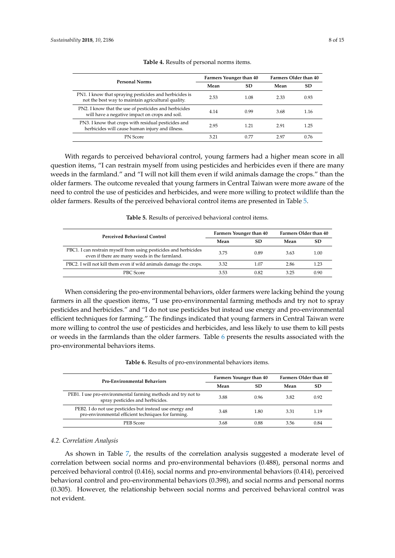<span id="page-7-0"></span>

| <b>Personal Norms</b>                                                                                        |      | Farmers Younger than 40 | <b>Farmers Older than 40</b> |      |  |
|--------------------------------------------------------------------------------------------------------------|------|-------------------------|------------------------------|------|--|
|                                                                                                              | Mean | SD                      | Mean                         | SD   |  |
| PN1. I know that spraying pesticides and herbicides is<br>not the best way to maintain agricultural quality. | 2.53 | 1.08                    | 2.33                         | 0.93 |  |
| PN2. I know that the use of pesticides and herbicides<br>will have a negative impact on crops and soil.      | 4.14 | 0.99                    | 3.68                         | 1.16 |  |
| PN3. I know that crops with residual pesticides and<br>herbicides will cause human injury and illness.       | 2.95 | 1.21                    | 291                          | 1.25 |  |
| <b>PN</b> Score                                                                                              | 3.21 | 0.77                    | 297                          | 0.76 |  |

## **Table 4.** Results of personal norms items.

With regards to perceived behavioral control, young farmers had a higher mean score in all question items, "I can restrain myself from using pesticides and herbicides even if there are many weeds in the farmland." and "I will not kill them even if wild animals damage the crops." than the older farmers. The outcome revealed that young farmers in Central Taiwan were more aware of the need to control the use of pesticides and herbicides, and were more willing to protect wildlife than the older farmers. Results of the perceived behavioral control items are presented in Table [5.](#page-7-1)

<span id="page-7-1"></span>

| <b>Perceived Behavioral Control</b>                                                                               | <b>Farmers Younger than 40</b> |      | Farmers Older than 40 |      |  |
|-------------------------------------------------------------------------------------------------------------------|--------------------------------|------|-----------------------|------|--|
|                                                                                                                   | Mean                           | SD   | Mean                  | SD   |  |
| PBC1. I can restrain myself from using pesticides and herbicides<br>even if there are many weeds in the farmland. | 3.75                           | 0.89 | 3.63                  | 1.00 |  |
| PBC2. I will not kill them even if wild animals damage the crops.                                                 | 3.32                           | 1.07 | 2.86                  | 1.23 |  |
| PBC Score                                                                                                         | 3.53                           | 0.82 | 3.25                  | 0.90 |  |

**Table 5.** Results of perceived behavioral control items.

When considering the pro-environmental behaviors, older farmers were lacking behind the young farmers in all the question items, "I use pro-environmental farming methods and try not to spray pesticides and herbicides." and "I do not use pesticides but instead use energy and pro-environmental efficient techniques for farming." The findings indicated that young farmers in Central Taiwan were more willing to control the use of pesticides and herbicides, and less likely to use them to kill pests or weeds in the farmlands than the older farmers. Table [6](#page-7-2) presents the results associated with the pro-environmental behaviors items.

#### **Table 6.** Results of pro-environmental behaviors items.

<span id="page-7-2"></span>

| <b>Pro-Environmental Behaviors</b>                                                                              | <b>Farmers Younger than 40</b> |      | <b>Farmers Older than 40</b> |      |  |
|-----------------------------------------------------------------------------------------------------------------|--------------------------------|------|------------------------------|------|--|
|                                                                                                                 | Mean                           | SD   | Mean                         | SD   |  |
| PEB1. I use pro-environmental farming methods and try not to<br>spray pesticides and herbicides.                | 3.88                           | 0.96 | 3.82                         | 0.92 |  |
| PEB2. I do not use pesticides but instead use energy and<br>pro-environmental efficient techniques for farming. | 3.48                           | 1.80 | 3.31                         | 1.19 |  |
| PEB Score                                                                                                       | 3.68                           | 0.88 | 3.56                         | 0.84 |  |

## *4.2. Correlation Analysis*

As shown in Table [7,](#page-8-0) the results of the correlation analysis suggested a moderate level of correlation between social norms and pro-environmental behaviors (0.488), personal norms and perceived behavioral control (0.416), social norms and pro-environmental behaviors (0.414), perceived behavioral control and pro-environmental behaviors (0.398), and social norms and personal norms (0.305). However, the relationship between social norms and perceived behavioral control was not evident.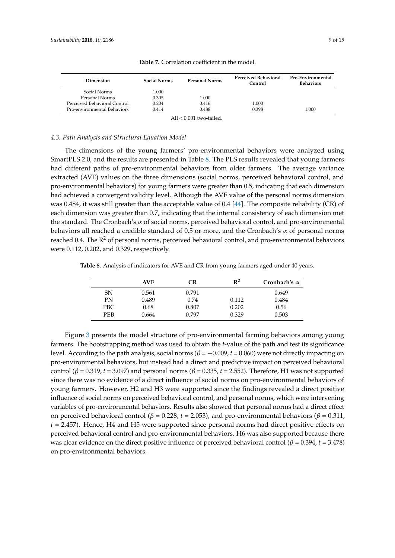<span id="page-8-0"></span>

| Dimension                    | <b>Social Norms</b> | <b>Personal Norms</b>      | <b>Perceived Behavioral</b><br>Control | Pro-Environmental<br><b>Behaviors</b> |
|------------------------------|---------------------|----------------------------|----------------------------------------|---------------------------------------|
| Social Norms                 | 1.000               |                            |                                        |                                       |
| Personal Norms               | 0.305               | 1.000                      |                                        |                                       |
| Perceived Behavioral Control | 0.204               | 0.416                      | 1.000                                  |                                       |
| Pro-environmental Behaviors  | 0.414               | 0.488                      | 0.398                                  | 1.000                                 |
|                              |                     | All $\lt 0.001$ two-tailed |                                        |                                       |

**Table 7.** Correlation coefficient in the model.

## *4.3. Path Analysis and Structural Equation Model*

The dimensions of the young farmers' pro-environmental behaviors were analyzed using SmartPLS 2.0, and the results are presented in Table [8.](#page-8-1) The PLS results revealed that young farmers had different paths of pro-environmental behaviors from older farmers. The average variance extracted (AVE) values on the three dimensions (social norms, perceived behavioral control, and pro-environmental behaviors) for young farmers were greater than 0.5, indicating that each dimension had achieved a convergent validity level. Although the AVE value of the personal norms dimension was 0.484, it was still greater than the acceptable value of 0.4 [\[44\]](#page-14-5). The composite reliability (CR) of each dimension was greater than 0.7, indicating that the internal consistency of each dimension met the standard. The Cronbach's  $\alpha$  of social norms, perceived behavioral control, and pro-environmental behaviors all reached a credible standard of 0.5 or more, and the Cronbach's  $\alpha$  of personal norms reached 0.4. The  $R^2$  of personal norms, perceived behavioral control, and pro-environmental behaviors were 0.112, 0.202, and 0.329, respectively.

<span id="page-8-1"></span>**Table 8.** Analysis of indicators for AVE and CR from young farmers aged under 40 years.

|            | <b>AVE</b> | CR    | $R^2$ | Cronbach's $\alpha$ |
|------------|------------|-------|-------|---------------------|
| SN         | 0.561      | 0.791 |       | 0.649               |
| PN         | 0.489      | 0.74  | 0.112 | 0.484               |
| PBC        | 0.68       | 0.807 | 0.202 | 0.56                |
| <b>PEB</b> | 0.664      | 0.797 | 0.329 | 0.503               |

Figure [3](#page-9-0) presents the model structure of pro-environmental farming behaviors among young farmers. The bootstrapping method was used to obtain the *t*-value of the path and test its significance level. According to the path analysis, social norms ( $\beta = -0.009$ ,  $t = 0.060$ ) were not directly impacting on pro-environmental behaviors, but instead had a direct and predictive impact on perceived behavioral control ( $\beta$  = 0.319, *t* = 3.097) and personal norms ( $\beta$  = 0.335, *t* = 2.552). Therefore, H1 was not supported since there was no evidence of a direct influence of social norms on pro-environmental behaviors of young farmers. However, H2 and H3 were supported since the findings revealed a direct positive influence of social norms on perceived behavioral control, and personal norms, which were intervening variables of pro-environmental behaviors. Results also showed that personal norms had a direct effect on perceived behavioral control (*β* = 0.228, *t* = 2.053), and pro-environmental behaviors (*β* = 0.311, *t* = 2.457). Hence, H4 and H5 were supported since personal norms had direct positive effects on perceived behavioral control and pro-environmental behaviors. H6 was also supported because there was clear evidence on the direct positive influence of perceived behavioral control ( $\beta$  = 0.394, *t* = 3.478) on pro-environmental behaviors.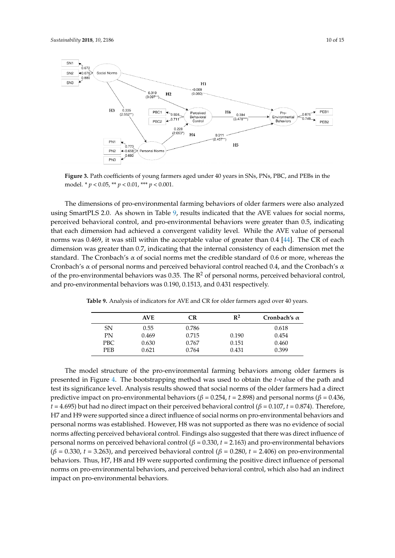<span id="page-9-0"></span>

**Figure 3.** Path coefficients of young farmers aged under 40 years in SNs, PNs, PBC, and PEBs in the **Figure 3.** Path coefficients of young farmers aged under 40 years in SNs, PNs, PBC, and PEBs in the model. \* *p* < 0.05, \*\* *p* < 0.01, \*\*\* *p* < 0.001. model. \* *p* < 0.05, \*\* *p* < 0.01, \*\*\* *p* < 0.001.

The dimensions of pro-environmental farming behaviors of older farmers were also analyzed The dimensions of pro-environmental farming behaviors of older farmers were also analyzed  $\frac{1}{2}$  is shown in Table 9, results in Table 9, results in Table 9, results in Table 9, results in Table 9, results in Table 9, results in Table 9, results in Table 9, results in Table 9, results in Table 9, results in using SmartPLS 2.0. As shown in Table [9,](#page-9-1) results indicated that the AVE values for social norms, perceived behavioral control, and pro-environmental behaviors were greater than 0.5, indicating that each dimension had achieved a convergent validity level. While the AVE value of personal norms was 0.469, it was still within the acceptable value of greater than 0.4 [\[44\]](#page-14-5). The CR of each dimension was greater than 0.7, indicating that the internal consistency of each dimension met the standard. The Cronbach's  $\alpha$  of social norms met the credible standard of 0.6 or more, whereas the Cronbach's  $\alpha$  of personal norms and perceived behavioral control reached 0.4, and the Cronbach's  $\alpha$ of the pro-environmental behaviors was 0.35. The  $\mathbb{R}^2$  of personal norms, perceived behavioral control, and pro-environmental behaviors was 0.190, 0.1513, and 0.431 respectively.

<span id="page-9-1"></span>**Table 9.** Analysis of indicators for AVE and CR for older farmers aged over 40 years.

|     | <b>AVE</b> | CR    | $R^2$ | Cronbach's $\alpha$ |
|-----|------------|-------|-------|---------------------|
| SN  | 0.55       | 0.786 |       | 0.618               |
| PN  | 0.469      | 0.715 | 0.190 | 0.454               |
| PBC | 0.630      | 0.767 | 0.151 | 0.460               |
| PEB | 0.621      | 0.764 | 0.431 | 0.399               |

The model structure of the pro-environmental farming behaviors among older farmers is presented in Figure [4.](#page-10-0) The bootstrapping method was used to obtain the *t*-value of the path and test its significance level. Analysis results showed that social norms of the older farmers had a direct predictive impact on pro-environmental behaviors (*β* = 0.254, *t* = 2.898) and personal norms (*β* = 0.436,  $t = 4.695$ ) but had no direct impact on their perceived behavioral control ( $\beta = 0.107$ ,  $t = 0.874$ ). Therefore, H7 and H9 were supported since a direct influence of social norms on pro-environmental behaviors and personal norms was established. However, H8 was not supported as there was no evidence of social norms affecting perceived behavioral control. Findings also suggested that there was direct influence of personal norms on perceived behavioral control (*β* = 0.330, *t* = 2.163) and pro-environmental behaviors (*β* = 0.330, *t* = 3.263), and perceived behavioral control (*β* = 0.280, *t* = 2.406) on pro-environmental behaviors. Thus, H7, H8 and H9 were supported confirming the positive direct influence of personal norms on pro-environmental behaviors, and perceived behavioral control, which also had an indirect impact on pro-environmental behaviors.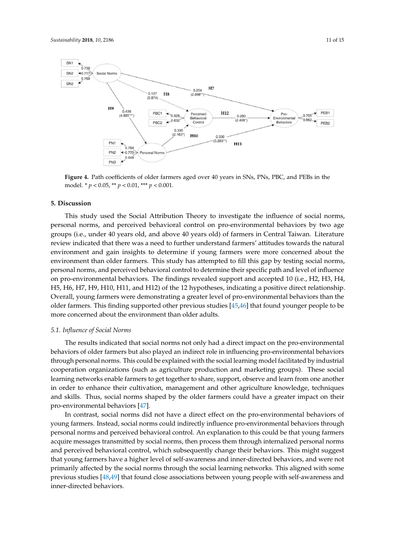<span id="page-10-0"></span>

**Figure 4.** Path coefficients of older farmers aged over 40 years in SNs, PNs, PBC, and PEBs in the **Figure 4.** Path coefficients of older farmers aged over 40 years in SNs, PNs, PBC, and PEBs in the model. \* *p* < 0.05, \*\* *p* < 0.01, \*\*\* *p* < 0.001. model. \* *p* < 0.05, \*\* *p* < 0.01, \*\*\* *p* < 0.001.

## **5. Discussion 5. Discussion**

This study used the Social Attribution Theory to investigate the influence of social norms, This study used the Social Attribution Theory to investigate the influence of social norms, personal norms, and perceived behavioral control on pro-environmental behaviors by two age personal norms, and perceived behavioral control on pro-environmental behaviors by two age groups (i.e., under 40 years old, and above 40 years old) of farmers in Central Taiwan. Literature groups (i.e., under 40 years old, and above 40 years old) of farmers in Central Taiwan. Literature review indicated that there was a need to further understand farmers' attitudes towards the natural review indicated that there was a need to further understand farmers' attitudes towards the natural environment and gain insights to determine if young farmers were more concerned about the environment and gain insights to determine if young farmers were more concerned about the environment than older farmers. This study has attempted to fill this gap by testing social norms, personal norms, and perceived behavioral control to determine their specific path and level of influence on pro-environmental behaviors. The findings revealed support and accepted 10 (i.e., H2, H3, H4, H5, H6, H7, H9, H10, H11, and H12) of the 12 hypotheses, indicating a positive direct relationship. Overall, young farmers were demonstrating a greater level of pro-environmental behaviors than the older farmers. This finding supported other previous studies [\[45](#page-14-6)[,46\]](#page-14-7) that found younger people to be more concerned about the environment than older adults.

## *5.1. Influence of Social Norms*

The results indicated that social norms not only had a direct impact on the pro-environmental behaviors of older farmers but also played an indirect role in influencing pro-environmental behaviors through personal norms. This could be explained with the social learning model facilitated by industrial cooperation organizations (such as agriculture production and marketing groups). These social learning networks enable farmers to get together to share, support, observe and learn from one another in order to enhance their cultivation, management and other agriculture knowledge, techniques and skills. Thus, social norms shaped by the older farmers could have a greater impact on their pro-environmental behaviors [\[47\]](#page-14-8).

In contrast, social norms did not have a direct effect on the pro-environmental behaviors of young farmers. Instead, social norms could indirectly influence pro-environmental behaviors through personal norms and perceived behavioral control. An explanation to this could be that young farmers acquire messages transmitted by social norms, then process them through internalized personal norms and perceived behavioral control, which subsequently change their behaviors. This might suggest that young farmers have a higher level of self-awareness and inner-directed behaviors, and were not primarily affected by the social norms through the social learning networks. This aligned with some previous studies [\[48](#page-14-9)[,49\]](#page-14-10) that found close associations between young people with self-awareness and inner-directed behaviors.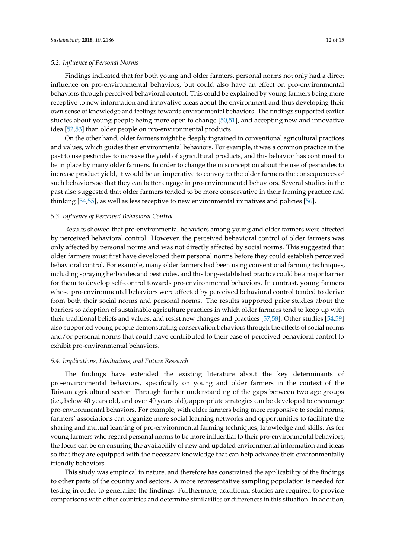#### *5.2. Influence of Personal Norms*

Findings indicated that for both young and older farmers, personal norms not only had a direct influence on pro-environmental behaviors, but could also have an effect on pro-environmental behaviors through perceived behavioral control. This could be explained by young farmers being more receptive to new information and innovative ideas about the environment and thus developing their own sense of knowledge and feelings towards environmental behaviors. The findings supported earlier studies about young people being more open to change [\[50](#page-14-11)[,51\]](#page-14-12), and accepting new and innovative idea [\[52,](#page-14-13)[53\]](#page-14-14) than older people on pro-environmental products.

On the other hand, older farmers might be deeply ingrained in conventional agricultural practices and values, which guides their environmental behaviors. For example, it was a common practice in the past to use pesticides to increase the yield of agricultural products, and this behavior has continued to be in place by many older farmers. In order to change the misconception about the use of pesticides to increase product yield, it would be an imperative to convey to the older farmers the consequences of such behaviors so that they can better engage in pro-environmental behaviors. Several studies in the past also suggested that older farmers tended to be more conservative in their farming practice and thinking [\[54](#page-14-15)[,55\]](#page-14-16), as well as less receptive to new environmental initiatives and policies [\[56\]](#page-14-17).

## *5.3. Influence of Perceived Behavioral Control*

Results showed that pro-environmental behaviors among young and older farmers were affected by perceived behavioral control. However, the perceived behavioral control of older farmers was only affected by personal norms and was not directly affected by social norms. This suggested that older farmers must first have developed their personal norms before they could establish perceived behavioral control. For example, many older farmers had been using conventional farming techniques, including spraying herbicides and pesticides, and this long-established practice could be a major barrier for them to develop self-control towards pro-environmental behaviors. In contrast, young farmers whose pro-environmental behaviors were affected by perceived behavioral control tended to derive from both their social norms and personal norms. The results supported prior studies about the barriers to adoption of sustainable agriculture practices in which older farmers tend to keep up with their traditional beliefs and values, and resist new changes and practices [\[57,](#page-14-18)[58\]](#page-14-19). Other studies [\[54,](#page-14-15)[59\]](#page-14-20) also supported young people demonstrating conservation behaviors through the effects of social norms and/or personal norms that could have contributed to their ease of perceived behavioral control to exhibit pro-environmental behaviors.

## *5.4. Implications, Limitations, and Future Research*

The findings have extended the existing literature about the key determinants of pro-environmental behaviors, specifically on young and older farmers in the context of the Taiwan agricultural sector. Through further understanding of the gaps between two age groups (i.e., below 40 years old, and over 40 years old), appropriate strategies can be developed to encourage pro-environmental behaviors. For example, with older farmers being more responsive to social norms, farmers' associations can organize more social learning networks and opportunities to facilitate the sharing and mutual learning of pro-environmental farming techniques, knowledge and skills. As for young farmers who regard personal norms to be more influential to their pro-environmental behaviors, the focus can be on ensuring the availability of new and updated environmental information and ideas so that they are equipped with the necessary knowledge that can help advance their environmentally friendly behaviors.

This study was empirical in nature, and therefore has constrained the applicability of the findings to other parts of the country and sectors. A more representative sampling population is needed for testing in order to generalize the findings. Furthermore, additional studies are required to provide comparisons with other countries and determine similarities or differences in this situation. In addition,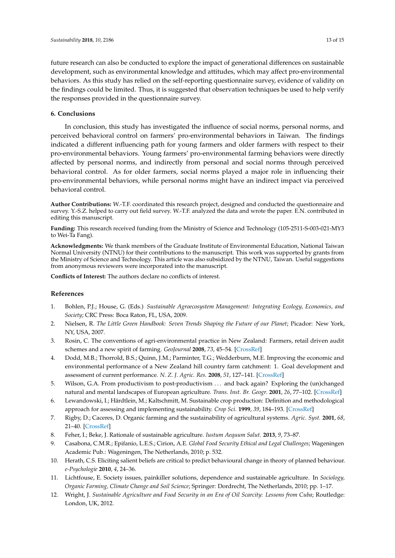future research can also be conducted to explore the impact of generational differences on sustainable development, such as environmental knowledge and attitudes, which may affect pro-environmental behaviors. As this study has relied on the self-reporting questionnaire survey, evidence of validity on the findings could be limited. Thus, it is suggested that observation techniques be used to help verify the responses provided in the questionnaire survey.

## **6. Conclusions**

In conclusion, this study has investigated the influence of social norms, personal norms, and perceived behavioral control on farmers' pro-environmental behaviors in Taiwan. The findings indicated a different influencing path for young farmers and older farmers with respect to their pro-environmental behaviors. Young farmers' pro-environmental farming behaviors were directly affected by personal norms, and indirectly from personal and social norms through perceived behavioral control. As for older farmers, social norms played a major role in influencing their pro-environmental behaviors, while personal norms might have an indirect impact via perceived behavioral control.

**Author Contributions:** W.-T.F. coordinated this research project, designed and conducted the questionnaire and survey. Y.-S.Z. helped to carry out field survey. W.-T.F. analyzed the data and wrote the paper. E.N. contributed in editing this manuscript.

**Funding:** This research received funding from the Ministry of Science and Technology (105-2511-S-003-021-MY3 to Wei-Ta Fang).

**Acknowledgments:** We thank members of the Graduate Institute of Environmental Education, National Taiwan Normal University (NTNU) for their contributions to the manuscript. This work was supported by grants from the Ministry of Science and Technology. This article was also subsidized by the NTNU, Taiwan. Useful suggestions from anonymous reviewers were incorporated into the manuscript.

**Conflicts of Interest:** The authors declare no conflicts of interest.

# **References**

- <span id="page-12-0"></span>1. Bohlen, P.J.; House, G. (Eds.) *Sustainable Agroecosystem Management: Integrating Ecology, Economics, and Society*; CRC Press: Boca Raton, FL, USA, 2009.
- <span id="page-12-1"></span>2. Nielsen, R. *The Little Green Handbook: Seven Trends Shaping the Future of our Planet*; Picador: New York, NY, USA, 2007.
- <span id="page-12-2"></span>3. Rosin, C. The conventions of agri-environmental practice in New Zealand: Farmers, retail driven audit schemes and a new spirit of farming. *GeoJournal* **2008**, *73*, 45–54. [\[CrossRef\]](http://dx.doi.org/10.1007/s10708-008-9177-1)
- <span id="page-12-3"></span>4. Dodd, M.B.; Thorrold, B.S.; Quinn, J.M.; Parminter, T.G.; Wedderburn, M.E. Improving the economic and environmental performance of a New Zealand hill country farm catchment: 1. Goal development and assessment of current performance. *N. Z. J. Agric. Res.* **2008**, *51*, 127–141. [\[CrossRef\]](http://dx.doi.org/10.1080/00288230809510442)
- <span id="page-12-4"></span>5. Wilson, G.A. From productivism to post-productivism . . . and back again? Exploring the (un)changed natural and mental landscapes of European agriculture. *Trans. Inst. Br. Geogr.* **2001**, *26*, 77–102. [\[CrossRef\]](http://dx.doi.org/10.1111/1475-5661.00007)
- <span id="page-12-5"></span>6. Lewandowski, I.; Härdtlein, M.; Kaltschmitt, M. Sustainable crop production: Definition and methodological approach for assessing and implementing sustainability. *Crop Sci.* **1999**, *39*, 184–193. [\[CrossRef\]](http://dx.doi.org/10.2135/cropsci1999.0011183X003900010029x)
- <span id="page-12-6"></span>7. Rigby, D.; Caceres, D. Organic farming and the sustainability of agricultural systems. *Agric. Syst.* **2001**, *68*, 21–40. [\[CrossRef\]](http://dx.doi.org/10.1016/S0308-521X(00)00060-3)
- <span id="page-12-7"></span>8. Feher, I.; Beke, J. Rationale of sustainable agriculture. *Iustum Aequum Salut.* **2013**, *9*, 73–87.
- <span id="page-12-8"></span>9. Casabona, C.M.R.; Epifanio, L.E.S.; Cirion, A.E. *Global Food Security Ethical and Legal Challenges*; Wageningen Academic Pub.: Wageningen, The Netherlands, 2010; p. 532.
- <span id="page-12-9"></span>10. Herath, C.S. Eliciting salient beliefs are critical to predict behavioural change in theory of planned behaviour. *e-Psychologie* **2010**, *4*, 24–36.
- <span id="page-12-10"></span>11. Lichtfouse, E. Society issues, painkiller solutions, dependence and sustainable agriculture. In *Sociology, Organic Farming, Climate Change and Soil Science*; Springer: Dordrecht, The Netherlands, 2010; pp. 1–17.
- <span id="page-12-11"></span>12. Wright, J. *Sustainable Agriculture and Food Security in an Era of Oil Scarcity: Lessons from Cuba*; Routledge: London, UK, 2012.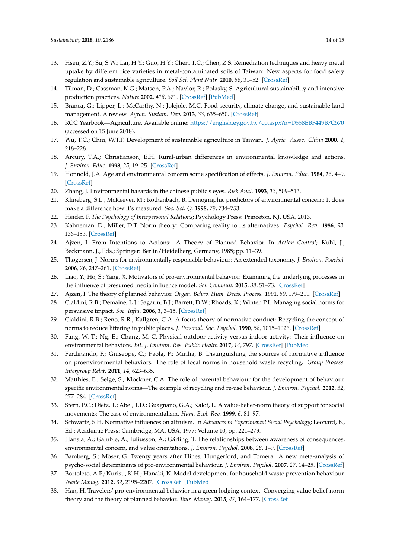- <span id="page-13-0"></span>13. Hseu, Z.Y.; Su, S.W.; Lai, H.Y.; Guo, H.Y.; Chen, T.C.; Chen, Z.S. Remediation techniques and heavy metal uptake by different rice varieties in metal-contaminated soils of Taiwan: New aspects for food safety regulation and sustainable agriculture. *Soil Sci. Plant Nutr.* **2010**, *56*, 31–52. [\[CrossRef\]](http://dx.doi.org/10.1111/j.1747-0765.2009.00442.x)
- <span id="page-13-1"></span>14. Tilman, D.; Cassman, K.G.; Matson, P.A.; Naylor, R.; Polasky, S. Agricultural sustainability and intensive production practices. *Nature* **2002**, *418*, 671. [\[CrossRef\]](http://dx.doi.org/10.1038/nature01014) [\[PubMed\]](http://www.ncbi.nlm.nih.gov/pubmed/12167873)
- <span id="page-13-2"></span>15. Branca, G.; Lipper, L.; McCarthy, N.; Jolejole, M.C. Food security, climate change, and sustainable land management. A review. *Agron. Sustain. Dev.* **2013**, *33*, 635–650. [\[CrossRef\]](http://dx.doi.org/10.1007/s13593-013-0133-1)
- <span id="page-13-3"></span>16. ROC Yearbook—Agriculture. Available online: <https://english.ey.gov.tw/cp.aspx?n=D558EBF449B7C570> (accessed on 15 June 2018).
- <span id="page-13-4"></span>17. Wu, T.C.; Chiu, W.T.F. Development of sustainable agriculture in Taiwan. *J. Agric. Assoc. China* **2000**, *1*, 218–228.
- <span id="page-13-5"></span>18. Arcury, T.A.; Christianson, E.H. Rural-urban differences in environmental knowledge and actions. *J. Environ. Educ.* **1993**, *25*, 19–25. [\[CrossRef\]](http://dx.doi.org/10.1080/00958964.1993.9941940)
- 19. Honnold, J.A. Age and environmental concern some specification of effects. *J. Environ. Educ.* **1984**, *16*, 4–9. [\[CrossRef\]](http://dx.doi.org/10.1080/00958964.1984.9942695)
- 20. Zhang, J. Environmental hazards in the chinese public's eyes. *Risk Anal.* **1993**, *13*, 509–513.
- <span id="page-13-6"></span>21. Klineberg, S.L.; McKeever, M.; Rothenbach, B. Demographic predictors of environmental concern: It does make a difference how it's measured. *Soc. Sci. Q.* **1998**, *79*, 734–753.
- <span id="page-13-8"></span><span id="page-13-7"></span>22. Heider, F. *The Psychology of Interpersonal Relations*; Psychology Press: Princeton, NJ, USA, 2013.
- 23. Kahneman, D.; Miller, D.T. Norm theory: Comparing reality to its alternatives. *Psychol. Rev.* **1986**, *93*, 136–153. [\[CrossRef\]](http://dx.doi.org/10.1037/0033-295X.93.2.136)
- <span id="page-13-9"></span>24. Ajzen, I. From Intentions to Actions: A Theory of Planned Behavior. In *Action Control*; Kuhl, J., Beckmann, J., Eds.; Springer: Berlin/Heidelberg, Germany, 1985; pp. 11–39.
- <span id="page-13-10"></span>25. Thøgersen, J. Norms for environmentally responsible behaviour: An extended taxonomy. *J. Environ. Psychol.* **2006**, *26*, 247–261. [\[CrossRef\]](http://dx.doi.org/10.1016/j.jenvp.2006.09.004)
- <span id="page-13-11"></span>26. Liao, Y.; Ho, S.; Yang, X. Motivators of pro-environmental behavior: Examining the underlying processes in the influence of presumed media influence model. *Sci. Commun.* **2015**, *38*, 51–73. [\[CrossRef\]](http://dx.doi.org/10.1177/1075547015616256)
- <span id="page-13-12"></span>27. Ajzen, I. The theory of planned behavior. *Organ. Behav. Hum. Decis. Process.* **1991**, *50*, 179–211. [\[CrossRef\]](http://dx.doi.org/10.1016/0749-5978(91)90020-T)
- <span id="page-13-13"></span>28. Cialdini, R.B.; Demaine, L.J.; Sagarin, B.J.; Barrett, D.W.; Rhoads, K.; Winter, P.L. Managing social norms for persuasive impact. *Soc. Influ.* **2006**, *1*, 3–15. [\[CrossRef\]](http://dx.doi.org/10.1080/15534510500181459)
- <span id="page-13-14"></span>29. Cialdini, R.B.; Reno, R.R.; Kallgren, C.A. A focus theory of normative conduct: Recycling the concept of norms to reduce littering in public places. *J. Personal. Soc. Psychol.* **1990**, *58*, 1015–1026. [\[CrossRef\]](http://dx.doi.org/10.1037/0022-3514.58.6.1015)
- 30. Fang, W.-T.; Ng, E.; Chang, M.-C. Physical outdoor activity versus indoor activity: Their influence on environmental behaviors. *Int. J. Environ. Res. Public Health* **2017**, *14*, 797. [\[CrossRef\]](http://dx.doi.org/10.3390/ijerph14070797) [\[PubMed\]](http://www.ncbi.nlm.nih.gov/pubmed/28714934)
- 31. Ferdinando, F.; Giuseppe, C.; Paola, P.; Mirilia, B. Distinguishing the sources of normative influence on proenvironmental behaviors: The role of local norms in household waste recycling. *Group Process. Intergroup Relat.* **2011**, *14*, 623–635.
- <span id="page-13-15"></span>32. Matthies, E.; Selge, S.; Klöckner, C.A. The role of parental behaviour for the development of behaviour specific environmental norms—The example of recycling and re-use behaviour. *J. Environ. Psychol.* **2012**, *32*, 277–284. [\[CrossRef\]](http://dx.doi.org/10.1016/j.jenvp.2012.04.003)
- <span id="page-13-16"></span>33. Stern, P.C.; Dietz, T.; Abel, T.D.; Guagnano, G.A.; Kalof, L. A value-belief-norm theory of support for social movements: The case of environmentalism. *Hum. Ecol. Rev.* **1999**, *6*, 81–97.
- 34. Schwartz, S.H. Normative influences on altruism. In *Advances in Experimental Social Psychology*; Leonard, B., Ed.; Academic Press: Cambridge, MA, USA, 1977; Volume 10, pp. 221–279.
- <span id="page-13-17"></span>35. Hansla, A.; Gamble, A.; Juliusson, A.; Gärling, T. The relationships between awareness of consequences, environmental concern, and value orientations. *J. Environ. Psychol.* **2008**, *28*, 1–9. [\[CrossRef\]](http://dx.doi.org/10.1016/j.jenvp.2007.08.004)
- 36. Bamberg, S.; Möser, G. Twenty years after Hines, Hungerford, and Tomera: A new meta-analysis of psycho-social determinants of pro-environmental behaviour. *J. Environ. Psychol.* **2007**, *27*, 14–25. [\[CrossRef\]](http://dx.doi.org/10.1016/j.jenvp.2006.12.002)
- 37. Bortoleto, A.P.; Kurisu, K.H.; Hanaki, K. Model development for household waste prevention behaviour. *Waste Manag.* **2012**, *32*, 2195–2207. [\[CrossRef\]](http://dx.doi.org/10.1016/j.wasman.2012.05.037) [\[PubMed\]](http://www.ncbi.nlm.nih.gov/pubmed/22763047)
- 38. Han, H. Travelers' pro-environmental behavior in a green lodging context: Converging value-belief-norm theory and the theory of planned behavior. *Tour. Manag.* **2015**, *47*, 164–177. [\[CrossRef\]](http://dx.doi.org/10.1016/j.tourman.2014.09.014)